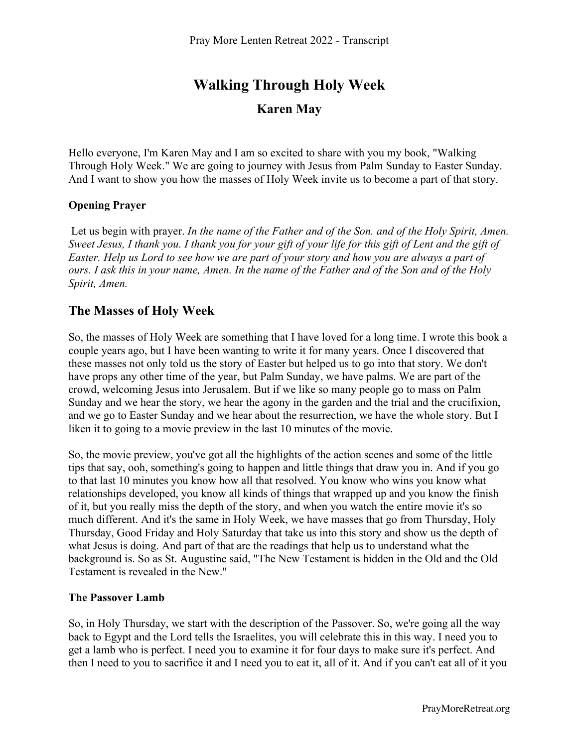# **Walking Through Holy Week Karen May**

Hello everyone, I'm Karen May and I am so excited to share with you my book, "Walking Through Holy Week." We are going to journey with Jesus from Palm Sunday to Easter Sunday. And I want to show you how the masses of Holy Week invite us to become a part of that story.

#### **Opening Prayer**

 Let us begin with prayer. *In the name of the Father and of the Son. and of the Holy Spirit, Amen. Sweet Jesus, I thank you. I thank you for your gift of your life for this gift of Lent and the gift of Easter. Help us Lord to see how we are part of your story and how you are always a part of ours. I ask this in your name, Amen. In the name of the Father and of the Son and of the Holy Spirit, Amen.*

### **The Masses of Holy Week**

So, the masses of Holy Week are something that I have loved for a long time. I wrote this book a couple years ago, but I have been wanting to write it for many years. Once I discovered that these masses not only told us the story of Easter but helped us to go into that story. We don't have props any other time of the year, but Palm Sunday, we have palms. We are part of the crowd, welcoming Jesus into Jerusalem. But if we like so many people go to mass on Palm Sunday and we hear the story, we hear the agony in the garden and the trial and the crucifixion, and we go to Easter Sunday and we hear about the resurrection, we have the whole story. But I liken it to going to a movie preview in the last 10 minutes of the movie.

So, the movie preview, you've got all the highlights of the action scenes and some of the little tips that say, ooh, something's going to happen and little things that draw you in. And if you go to that last 10 minutes you know how all that resolved. You know who wins you know what relationships developed, you know all kinds of things that wrapped up and you know the finish of it, but you really miss the depth of the story, and when you watch the entire movie it's so much different. And it's the same in Holy Week, we have masses that go from Thursday, Holy Thursday, Good Friday and Holy Saturday that take us into this story and show us the depth of what Jesus is doing. And part of that are the readings that help us to understand what the background is. So as St. Augustine said, "The New Testament is hidden in the Old and the Old Testament is revealed in the New."

#### **The Passover Lamb**

So, in Holy Thursday, we start with the description of the Passover. So, we're going all the way back to Egypt and the Lord tells the Israelites, you will celebrate this in this way. I need you to get a lamb who is perfect. I need you to examine it for four days to make sure it's perfect. And then I need to you to sacrifice it and I need you to eat it, all of it. And if you can't eat all of it you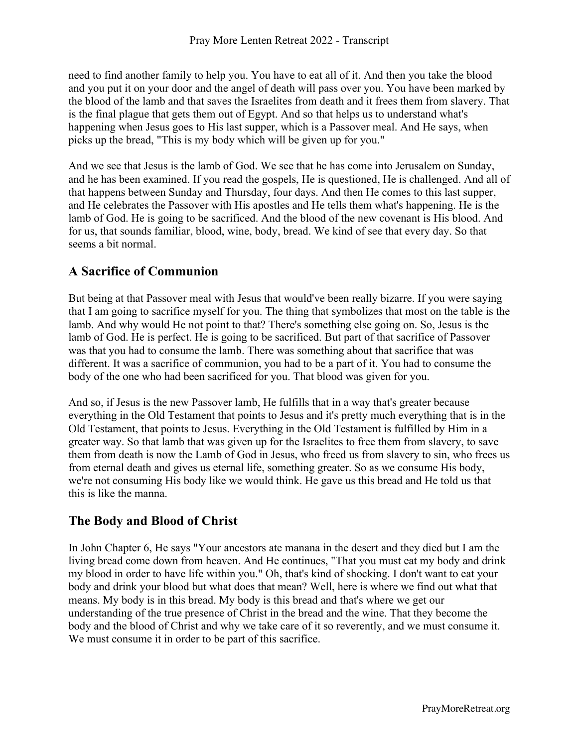need to find another family to help you. You have to eat all of it. And then you take the blood and you put it on your door and the angel of death will pass over you. You have been marked by the blood of the lamb and that saves the Israelites from death and it frees them from slavery. That is the final plague that gets them out of Egypt. And so that helps us to understand what's happening when Jesus goes to His last supper, which is a Passover meal. And He says, when picks up the bread, "This is my body which will be given up for you."

And we see that Jesus is the lamb of God. We see that he has come into Jerusalem on Sunday, and he has been examined. If you read the gospels, He is questioned, He is challenged. And all of that happens between Sunday and Thursday, four days. And then He comes to this last supper, and He celebrates the Passover with His apostles and He tells them what's happening. He is the lamb of God. He is going to be sacrificed. And the blood of the new covenant is His blood. And for us, that sounds familiar, blood, wine, body, bread. We kind of see that every day. So that seems a bit normal.

### **A Sacrifice of Communion**

But being at that Passover meal with Jesus that would've been really bizarre. If you were saying that I am going to sacrifice myself for you. The thing that symbolizes that most on the table is the lamb. And why would He not point to that? There's something else going on. So, Jesus is the lamb of God. He is perfect. He is going to be sacrificed. But part of that sacrifice of Passover was that you had to consume the lamb. There was something about that sacrifice that was different. It was a sacrifice of communion, you had to be a part of it. You had to consume the body of the one who had been sacrificed for you. That blood was given for you.

And so, if Jesus is the new Passover lamb, He fulfills that in a way that's greater because everything in the Old Testament that points to Jesus and it's pretty much everything that is in the Old Testament, that points to Jesus. Everything in the Old Testament is fulfilled by Him in a greater way. So that lamb that was given up for the Israelites to free them from slavery, to save them from death is now the Lamb of God in Jesus, who freed us from slavery to sin, who frees us from eternal death and gives us eternal life, something greater. So as we consume His body, we're not consuming His body like we would think. He gave us this bread and He told us that this is like the manna.

### **The Body and Blood of Christ**

In John Chapter 6, He says "Your ancestors ate manana in the desert and they died but I am the living bread come down from heaven. And He continues, "That you must eat my body and drink my blood in order to have life within you." Oh, that's kind of shocking. I don't want to eat your body and drink your blood but what does that mean? Well, here is where we find out what that means. My body is in this bread. My body is this bread and that's where we get our understanding of the true presence of Christ in the bread and the wine. That they become the body and the blood of Christ and why we take care of it so reverently, and we must consume it. We must consume it in order to be part of this sacrifice.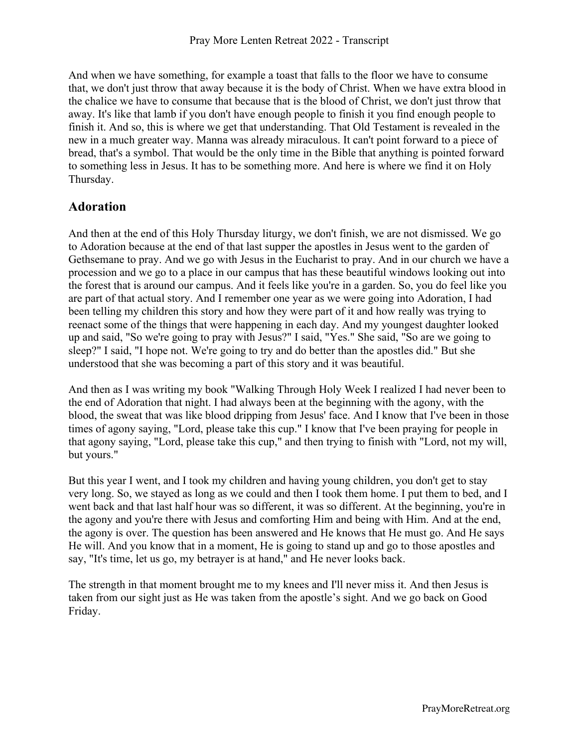And when we have something, for example a toast that falls to the floor we have to consume that, we don't just throw that away because it is the body of Christ. When we have extra blood in the chalice we have to consume that because that is the blood of Christ, we don't just throw that away. It's like that lamb if you don't have enough people to finish it you find enough people to finish it. And so, this is where we get that understanding. That Old Testament is revealed in the new in a much greater way. Manna was already miraculous. It can't point forward to a piece of bread, that's a symbol. That would be the only time in the Bible that anything is pointed forward to something less in Jesus. It has to be something more. And here is where we find it on Holy Thursday.

### **Adoration**

And then at the end of this Holy Thursday liturgy, we don't finish, we are not dismissed. We go to Adoration because at the end of that last supper the apostles in Jesus went to the garden of Gethsemane to pray. And we go with Jesus in the Eucharist to pray. And in our church we have a procession and we go to a place in our campus that has these beautiful windows looking out into the forest that is around our campus. And it feels like you're in a garden. So, you do feel like you are part of that actual story. And I remember one year as we were going into Adoration, I had been telling my children this story and how they were part of it and how really was trying to reenact some of the things that were happening in each day. And my youngest daughter looked up and said, "So we're going to pray with Jesus?" I said, "Yes." She said, "So are we going to sleep?" I said, "I hope not. We're going to try and do better than the apostles did." But she understood that she was becoming a part of this story and it was beautiful.

And then as I was writing my book "Walking Through Holy Week I realized I had never been to the end of Adoration that night. I had always been at the beginning with the agony, with the blood, the sweat that was like blood dripping from Jesus' face. And I know that I've been in those times of agony saying, "Lord, please take this cup." I know that I've been praying for people in that agony saying, "Lord, please take this cup," and then trying to finish with "Lord, not my will, but yours."

But this year I went, and I took my children and having young children, you don't get to stay very long. So, we stayed as long as we could and then I took them home. I put them to bed, and I went back and that last half hour was so different, it was so different. At the beginning, you're in the agony and you're there with Jesus and comforting Him and being with Him. And at the end, the agony is over. The question has been answered and He knows that He must go. And He says He will. And you know that in a moment, He is going to stand up and go to those apostles and say, "It's time, let us go, my betrayer is at hand," and He never looks back.

The strength in that moment brought me to my knees and I'll never miss it. And then Jesus is taken from our sight just as He was taken from the apostle's sight. And we go back on Good Friday.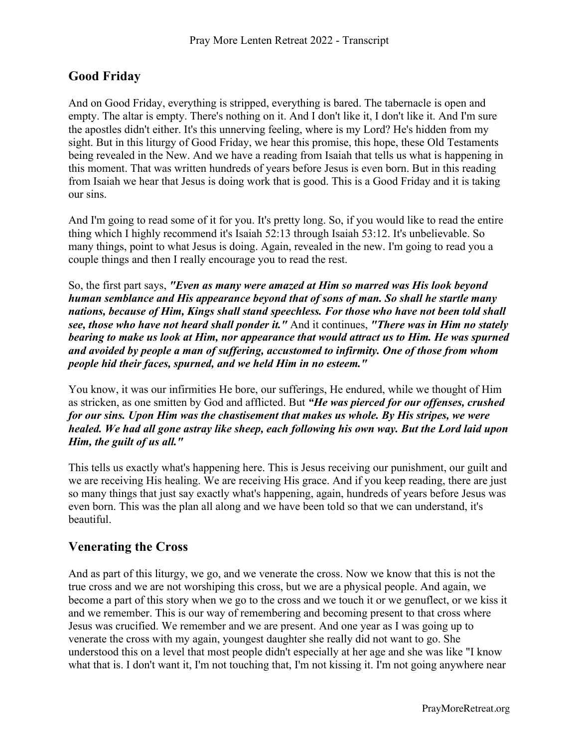# **Good Friday**

And on Good Friday, everything is stripped, everything is bared. The tabernacle is open and empty. The altar is empty. There's nothing on it. And I don't like it, I don't like it. And I'm sure the apostles didn't either. It's this unnerving feeling, where is my Lord? He's hidden from my sight. But in this liturgy of Good Friday, we hear this promise, this hope, these Old Testaments being revealed in the New. And we have a reading from Isaiah that tells us what is happening in this moment. That was written hundreds of years before Jesus is even born. But in this reading from Isaiah we hear that Jesus is doing work that is good. This is a Good Friday and it is taking our sins.

And I'm going to read some of it for you. It's pretty long. So, if you would like to read the entire thing which I highly recommend it's Isaiah 52:13 through Isaiah 53:12. It's unbelievable. So many things, point to what Jesus is doing. Again, revealed in the new. I'm going to read you a couple things and then I really encourage you to read the rest.

So, the first part says, *"Even as many were amazed at Him so marred was His look beyond human semblance and His appearance beyond that of sons of man. So shall he startle many nations, because of Him, Kings shall stand speechless. For those who have not been told shall see, those who have not heard shall ponder it."* And it continues, *"There was in Him no stately bearing to make us look at Him, nor appearance that would attract us to Him. He was spurned and avoided by people a man of suffering, accustomed to infirmity. One of those from whom people hid their faces, spurned, and we held Him in no esteem."*

You know, it was our infirmities He bore, our sufferings, He endured, while we thought of Him as stricken, as one smitten by God and afflicted. But *"He was pierced for our offenses, crushed for our sins. Upon Him was the chastisement that makes us whole. By His stripes, we were healed. We had all gone astray like sheep, each following his own way. But the Lord laid upon Him, the guilt of us all."*

This tells us exactly what's happening here. This is Jesus receiving our punishment, our guilt and we are receiving His healing. We are receiving His grace. And if you keep reading, there are just so many things that just say exactly what's happening, again, hundreds of years before Jesus was even born. This was the plan all along and we have been told so that we can understand, it's beautiful.

### **Venerating the Cross**

And as part of this liturgy, we go, and we venerate the cross. Now we know that this is not the true cross and we are not worshiping this cross, but we are a physical people. And again, we become a part of this story when we go to the cross and we touch it or we genuflect, or we kiss it and we remember. This is our way of remembering and becoming present to that cross where Jesus was crucified. We remember and we are present. And one year as I was going up to venerate the cross with my again, youngest daughter she really did not want to go. She understood this on a level that most people didn't especially at her age and she was like "I know what that is. I don't want it, I'm not touching that, I'm not kissing it. I'm not going anywhere near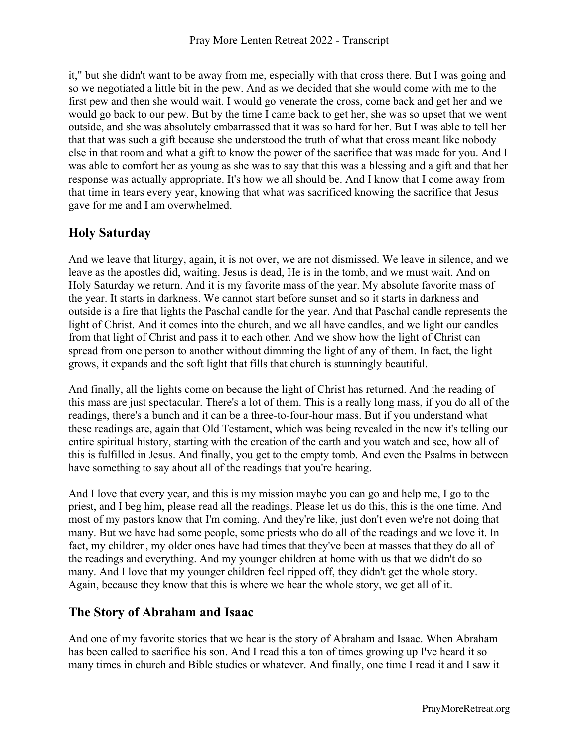it," but she didn't want to be away from me, especially with that cross there. But I was going and so we negotiated a little bit in the pew. And as we decided that she would come with me to the first pew and then she would wait. I would go venerate the cross, come back and get her and we would go back to our pew. But by the time I came back to get her, she was so upset that we went outside, and she was absolutely embarrassed that it was so hard for her. But I was able to tell her that that was such a gift because she understood the truth of what that cross meant like nobody else in that room and what a gift to know the power of the sacrifice that was made for you. And I was able to comfort her as young as she was to say that this was a blessing and a gift and that her response was actually appropriate. It's how we all should be. And I know that I come away from that time in tears every year, knowing that what was sacrificed knowing the sacrifice that Jesus gave for me and I am overwhelmed.

## **Holy Saturday**

And we leave that liturgy, again, it is not over, we are not dismissed. We leave in silence, and we leave as the apostles did, waiting. Jesus is dead, He is in the tomb, and we must wait. And on Holy Saturday we return. And it is my favorite mass of the year. My absolute favorite mass of the year. It starts in darkness. We cannot start before sunset and so it starts in darkness and outside is a fire that lights the Paschal candle for the year. And that Paschal candle represents the light of Christ. And it comes into the church, and we all have candles, and we light our candles from that light of Christ and pass it to each other. And we show how the light of Christ can spread from one person to another without dimming the light of any of them. In fact, the light grows, it expands and the soft light that fills that church is stunningly beautiful.

And finally, all the lights come on because the light of Christ has returned. And the reading of this mass are just spectacular. There's a lot of them. This is a really long mass, if you do all of the readings, there's a bunch and it can be a three-to-four-hour mass. But if you understand what these readings are, again that Old Testament, which was being revealed in the new it's telling our entire spiritual history, starting with the creation of the earth and you watch and see, how all of this is fulfilled in Jesus. And finally, you get to the empty tomb. And even the Psalms in between have something to say about all of the readings that you're hearing.

And I love that every year, and this is my mission maybe you can go and help me, I go to the priest, and I beg him, please read all the readings. Please let us do this, this is the one time. And most of my pastors know that I'm coming. And they're like, just don't even we're not doing that many. But we have had some people, some priests who do all of the readings and we love it. In fact, my children, my older ones have had times that they've been at masses that they do all of the readings and everything. And my younger children at home with us that we didn't do so many. And I love that my younger children feel ripped off, they didn't get the whole story. Again, because they know that this is where we hear the whole story, we get all of it.

### **The Story of Abraham and Isaac**

And one of my favorite stories that we hear is the story of Abraham and Isaac. When Abraham has been called to sacrifice his son. And I read this a ton of times growing up I've heard it so many times in church and Bible studies or whatever. And finally, one time I read it and I saw it